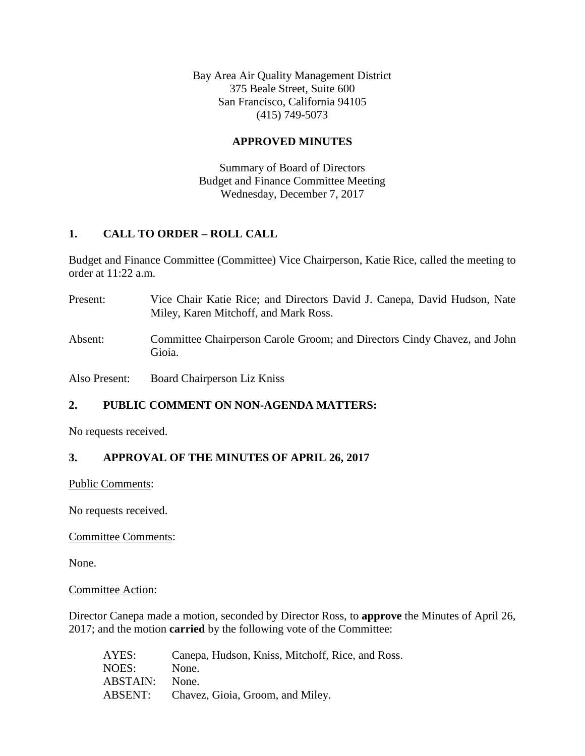Bay Area Air Quality Management District 375 Beale Street, Suite 600 San Francisco, California 94105 (415) 749-5073

## **APPROVED MINUTES**

Summary of Board of Directors Budget and Finance Committee Meeting Wednesday, December 7, 2017

# **1. CALL TO ORDER – ROLL CALL**

Budget and Finance Committee (Committee) Vice Chairperson, Katie Rice, called the meeting to order at 11:22 a.m.

Present: Vice Chair Katie Rice; and Directors David J. Canepa, David Hudson, Nate Miley, Karen Mitchoff, and Mark Ross. Absent: Committee Chairperson Carole Groom; and Directors Cindy Chavez, and John Gioia.

Also Present: Board Chairperson Liz Kniss

# **2. PUBLIC COMMENT ON NON-AGENDA MATTERS:**

No requests received.

# **3. APPROVAL OF THE MINUTES OF APRIL 26, 2017**

Public Comments:

No requests received.

Committee Comments:

None.

Committee Action:

Director Canepa made a motion, seconded by Director Ross, to **approve** the Minutes of April 26, 2017; and the motion **carried** by the following vote of the Committee:

| AYES:    | Canepa, Hudson, Kniss, Mitchoff, Rice, and Ross. |
|----------|--------------------------------------------------|
| NOES:    | None.                                            |
| ABSTAIN: | None.                                            |
| ABSENT:  | Chavez, Gioia, Groom, and Miley.                 |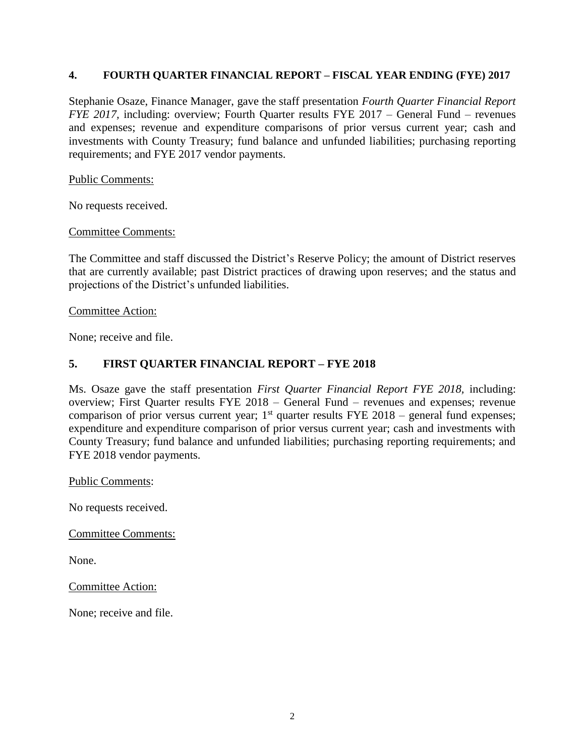#### **4. FOURTH QUARTER FINANCIAL REPORT – FISCAL YEAR ENDING (FYE) 2017**

Stephanie Osaze, Finance Manager, gave the staff presentation *Fourth Quarter Financial Report FYE* 2017, including: overview; Fourth Quarter results FYE 2017 – General Fund – revenues and expenses; revenue and expenditure comparisons of prior versus current year; cash and investments with County Treasury; fund balance and unfunded liabilities; purchasing reporting requirements; and FYE 2017 vendor payments.

#### Public Comments:

No requests received.

Committee Comments:

The Committee and staff discussed the District's Reserve Policy; the amount of District reserves that are currently available; past District practices of drawing upon reserves; and the status and projections of the District's unfunded liabilities.

#### Committee Action:

None; receive and file.

## **5. FIRST QUARTER FINANCIAL REPORT – FYE 2018**

Ms. Osaze gave the staff presentation *First Quarter Financial Report FYE 2018,* including: overview; First Quarter results FYE 2018 – General Fund – revenues and expenses; revenue comparison of prior versus current year;  $1<sup>st</sup>$  quarter results FYE 2018 – general fund expenses; expenditure and expenditure comparison of prior versus current year; cash and investments with County Treasury; fund balance and unfunded liabilities; purchasing reporting requirements; and FYE 2018 vendor payments.

Public Comments:

No requests received.

Committee Comments:

None.

Committee Action:

None; receive and file.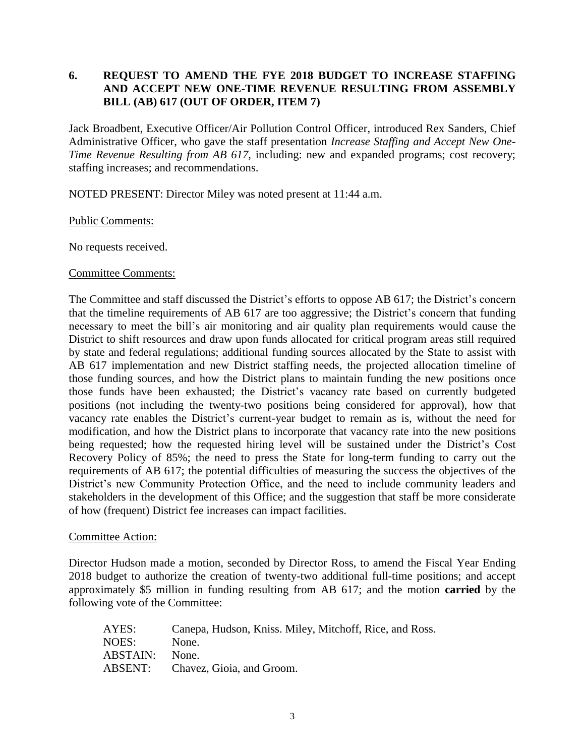# **6. REQUEST TO AMEND THE FYE 2018 BUDGET TO INCREASE STAFFING AND ACCEPT NEW ONE-TIME REVENUE RESULTING FROM ASSEMBLY BILL (AB) 617 (OUT OF ORDER, ITEM 7)**

Jack Broadbent, Executive Officer/Air Pollution Control Officer, introduced Rex Sanders, Chief Administrative Officer, who gave the staff presentation *Increase Staffing and Accept New One-Time Revenue Resulting from AB 617,* including: new and expanded programs; cost recovery; staffing increases; and recommendations.

NOTED PRESENT: Director Miley was noted present at 11:44 a.m.

## Public Comments:

No requests received.

## Committee Comments:

The Committee and staff discussed the District's efforts to oppose AB 617; the District's concern that the timeline requirements of AB 617 are too aggressive; the District's concern that funding necessary to meet the bill's air monitoring and air quality plan requirements would cause the District to shift resources and draw upon funds allocated for critical program areas still required by state and federal regulations; additional funding sources allocated by the State to assist with AB 617 implementation and new District staffing needs, the projected allocation timeline of those funding sources, and how the District plans to maintain funding the new positions once those funds have been exhausted; the District's vacancy rate based on currently budgeted positions (not including the twenty-two positions being considered for approval), how that vacancy rate enables the District's current-year budget to remain as is, without the need for modification, and how the District plans to incorporate that vacancy rate into the new positions being requested; how the requested hiring level will be sustained under the District's Cost Recovery Policy of 85%; the need to press the State for long-term funding to carry out the requirements of AB 617; the potential difficulties of measuring the success the objectives of the District's new Community Protection Office, and the need to include community leaders and stakeholders in the development of this Office; and the suggestion that staff be more considerate of how (frequent) District fee increases can impact facilities.

### Committee Action:

Director Hudson made a motion, seconded by Director Ross, to amend the Fiscal Year Ending 2018 budget to authorize the creation of twenty-two additional full-time positions; and accept approximately \$5 million in funding resulting from AB 617; and the motion **carried** by the following vote of the Committee:

| AYES:    | Canepa, Hudson, Kniss. Miley, Mitchoff, Rice, and Ross. |
|----------|---------------------------------------------------------|
| NOES:    | None.                                                   |
| ABSTAIN: | None.                                                   |
| ABSENT:  | Chavez, Gioia, and Groom.                               |